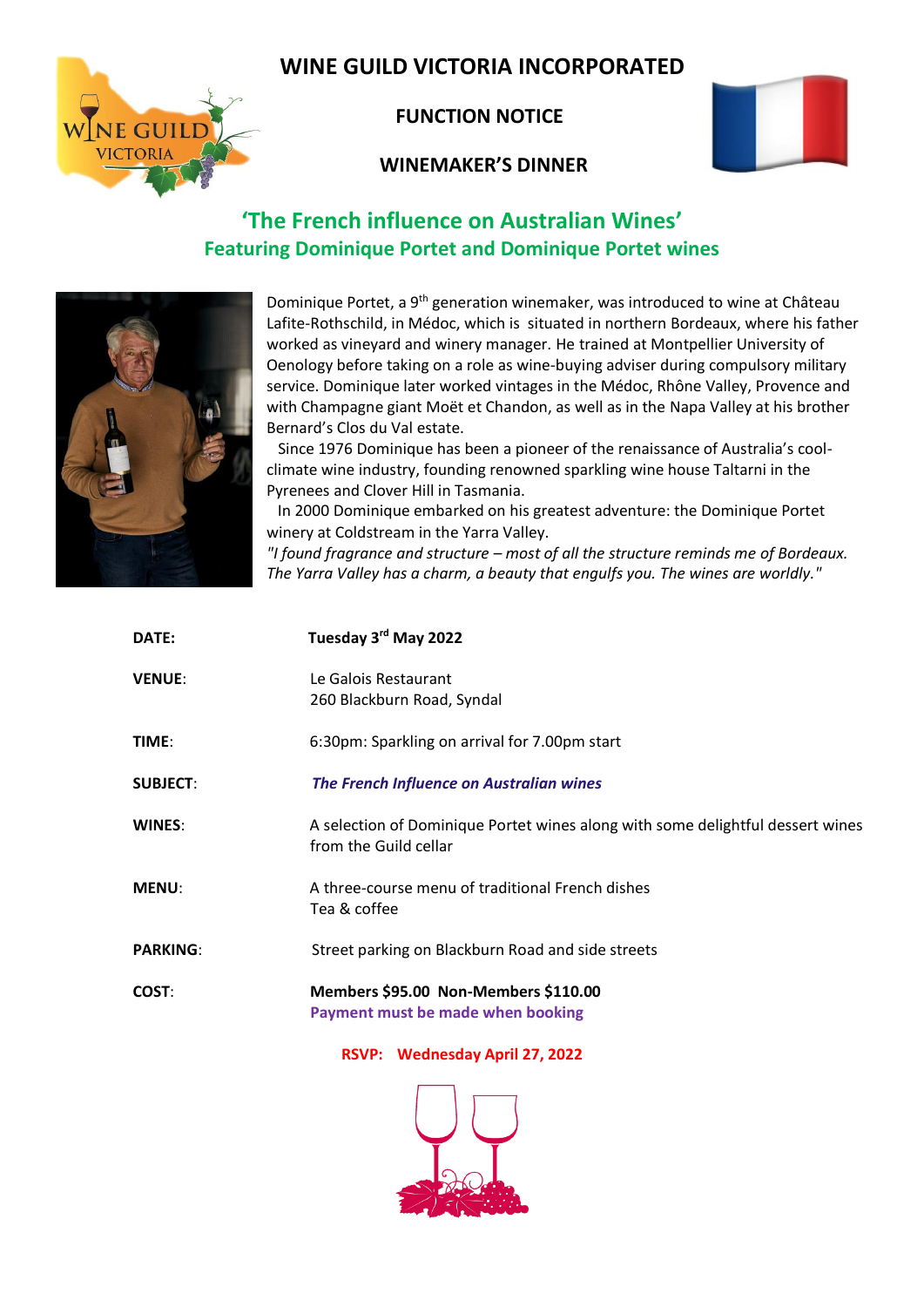# **WINE GUILD VICTORIA INCORPORATED**



### **WINEMAKER'S DINNER**



# **'The French influence on Australian Wines' Featuring Dominique Portet and Dominique Portet wines**



NE GUILD

Dominique Portet, a 9<sup>th</sup> generation winemaker, was introduced to wine at Château Lafite-Rothschild, in Médoc, which is situated in northern Bordeaux, where his father worked as vineyard and winery manager. He trained at Montpellier University of Oenology before taking on a role as wine-buying adviser during compulsory military service. Dominique later worked vintages in the Médoc, Rhône Valley, Provence and with Champagne giant Moët et Chandon, as well as in the Napa Valley at his brother Bernard's Clos du Val estate.

 Since 1976 Dominique has been a pioneer of the renaissance of Australia's coolclimate wine industry, founding renowned sparkling wine house Taltarni in the Pyrenees and Clover Hill in Tasmania.

 In 2000 Dominique embarked on his greatest adventure: the Dominique Portet winery at Coldstream in the Yarra Valley.

*"I found fragrance and structure – most of all the structure reminds me of Bordeaux. The Yarra Valley has a charm, a beauty that engulfs you. The wines are worldly."*

| DATE:           | Tuesday 3rd May 2022                                                                                    |
|-----------------|---------------------------------------------------------------------------------------------------------|
| <b>VENUE:</b>   | Le Galois Restaurant<br>260 Blackburn Road, Syndal                                                      |
| TIME:           | 6:30pm: Sparkling on arrival for 7.00pm start                                                           |
| <b>SUBJECT:</b> | <b>The French Influence on Australian wines</b>                                                         |
| WINES:          | A selection of Dominique Portet wines along with some delightful dessert wines<br>from the Guild cellar |
| <b>MENU:</b>    | A three-course menu of traditional French dishes<br>Tea & coffee                                        |
| <b>PARKING:</b> | Street parking on Blackburn Road and side streets                                                       |
| COST:           | Members \$95.00 Non-Members \$110.00<br>Payment must be made when booking                               |

**RSVP: Wednesday April 27, 2022**